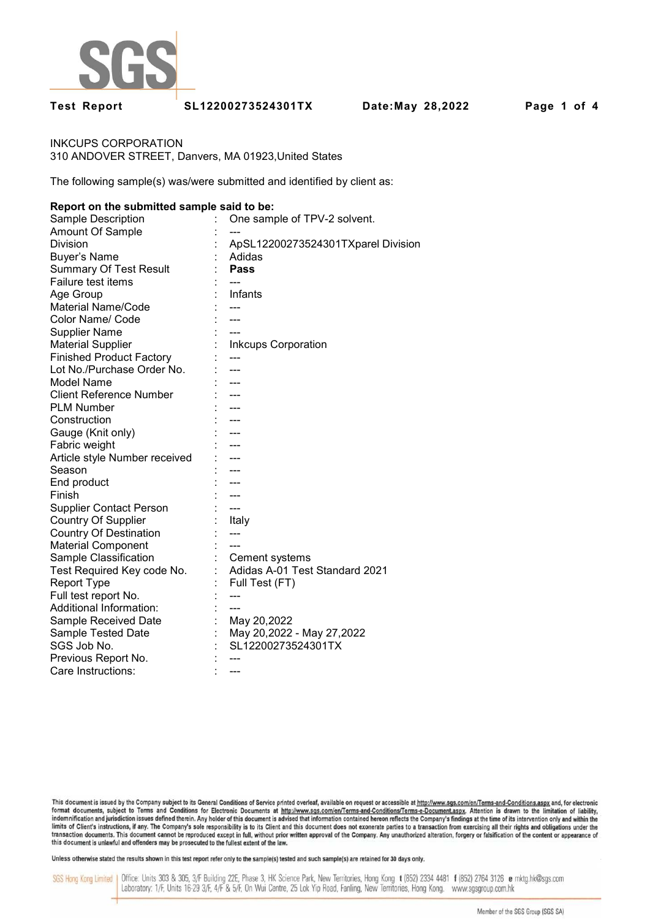

**Test Report SL12200273524301TX Date:May 28,2022 Page 1 of 4** 

INKCUPS CORPORATION 310 ANDOVER STREET, Danvers, MA 01923,United States

The following sample(s) was/were submitted and identified by client as:

# **Report on the submitted sample said to be:**

| Sample Description              | One sample of TPV-2 solvent.       |
|---------------------------------|------------------------------------|
| Amount Of Sample                |                                    |
| Division                        | ApSL12200273524301TXparel Division |
| <b>Buyer's Name</b>             | Adidas                             |
| <b>Summary Of Test Result</b>   | Pass                               |
| Failure test items              |                                    |
| Age Group                       | Infants                            |
| <b>Material Name/Code</b>       |                                    |
| Color Name/ Code                |                                    |
| <b>Supplier Name</b>            |                                    |
| <b>Material Supplier</b>        | <b>Inkcups Corporation</b>         |
| <b>Finished Product Factory</b> |                                    |
| Lot No./Purchase Order No.      |                                    |
| Model Name                      |                                    |
| <b>Client Reference Number</b>  |                                    |
| <b>PLM Number</b>               | ---                                |
| Construction                    |                                    |
| Gauge (Knit only)               | ---                                |
| Fabric weight                   |                                    |
| Article style Number received   |                                    |
| Season                          |                                    |
| End product                     |                                    |
| Finish                          |                                    |
| <b>Supplier Contact Person</b>  | ---                                |
| <b>Country Of Supplier</b>      | Italy                              |
| <b>Country Of Destination</b>   | ---                                |
| <b>Material Component</b>       |                                    |
| Sample Classification           | Cement systems                     |
| Test Required Key code No.      | Adidas A-01 Test Standard 2021     |
| <b>Report Type</b>              | Full Test (FT)                     |
| Full test report No.            |                                    |
| Additional Information:         | ---                                |
| Sample Received Date            | May 20,2022                        |
| Sample Tested Date              | May 20,2022 - May 27,2022          |
| SGS Job No.                     | SL12200273524301TX                 |
| Previous Report No.             |                                    |
| Care Instructions:              | ---                                |
|                                 |                                    |

This document is issued by the Company subject to its General Conditions of Service printed overleaf, available on request or accessible at http://www.sgs.com/en/Terms-and-Conditions.aspx and, for electronic format documents, subject to Terms and Conditions for Electronic Documents at http://www.sgs.com/en/Terms-and-Conditions/Terms-e-Document.aspx. Aftention is drawn to the limitation of liability,<br>indemnification and jurisdi limits of Client's instructions, if any. The Company's sole responsibility is to its Client and this document does not exonerate parties to a transaction from exercising all their rights and obligations under the transacti

Unless otherwise stated the results shown in this test report refer only to the sample(s) tested and such sample(s) are retained for 30 days only.

SGS Hong Kong Limited | Office: Units 303 & 305, 3/F Building 22E, Phase 3, HK Science Park, New Territories, Hong Kong t (852) 2334 4481 f (852) 2764 3126 e mktg.hk@sgs.com Laboratory: 1/F, Units 16-29 3/F, 4/F & 5/F, On Wui Centre, 25 Lok Yip Road, Fanling, New Territories, Hong Kong. www.sgsgroup.com.hk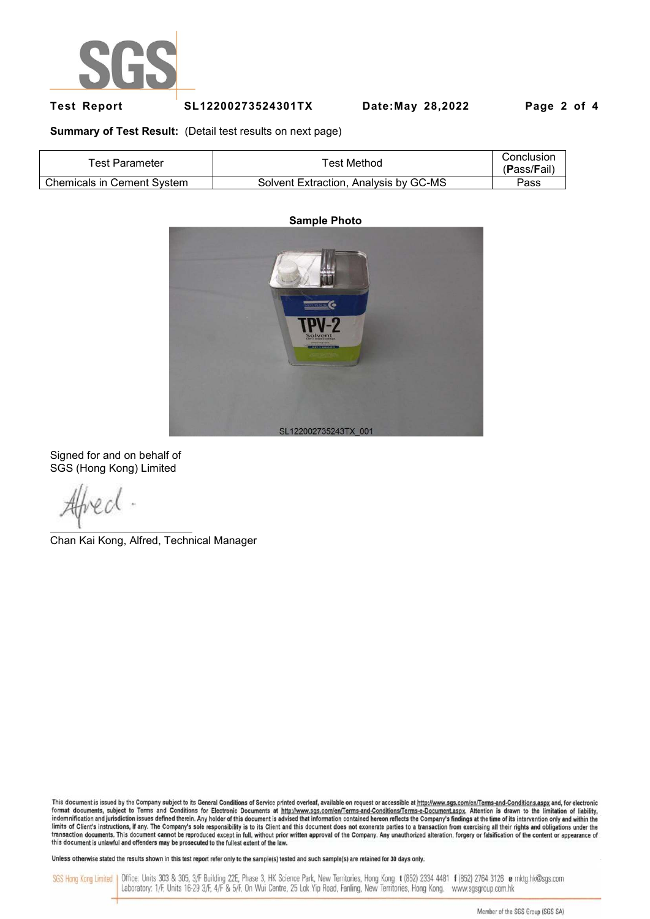

**Test Report SL12200273524301TX Date:May 28,2022 Page 2 of 4** 

**Summary of Test Result:** (Detail test results on next page)

| Test Parameter                    | <sup>⊤</sup> est Method               | Conclusion<br>(Pass/Fail) |
|-----------------------------------|---------------------------------------|---------------------------|
| <b>Chemicals in Cement System</b> | Solvent Extraction, Analysis by GC-MS | Pass                      |



Signed for and on behalf of SGS (Hong Kong) Limited

Chan Kai Kong, Alfred, Technical Manager

This document is issued by the Company subject to its General Conditions of Service printed overleaf, available on request or accessible at http://www.sgs.com/en/Terms-and-Conditions.aspx and, for electronic In the documents, subject to Terms and Conditions for Electronic Documents at http://www.sps.com/en/Terms-and-Conditions/Terms-e-Document.aspx... Attention is drawn to the limitation of liability,<br>Indemnification and juris limits of Client's instructions, if any. The Company's sole responsibility is to its Client and this document does not exonerate parties to a transaction from exercising all their rights and obligations under the transacti

Unless otherwise stated the results shown in this test report refer only to the sample(s) tested and such sample(s) are retained for 30 days only.

SGS Hong Kong Limited | Office: Units 303 & 305, 3/F Building 22E, Phase 3, HK Science Park, New Territories, Hong Kong t (852) 2334 4481 f (852) 2764 3126 e mktg.hk@sgs.com Laboratory: 1/F, Units 16-29 3/F, 4/F & 5/F, On Wui Centre, 25 Lok Yip Road, Fanling, New Territories, Hong Kong. www.sgsgroup.com.hk

Member of the SGS Group (SGS SA)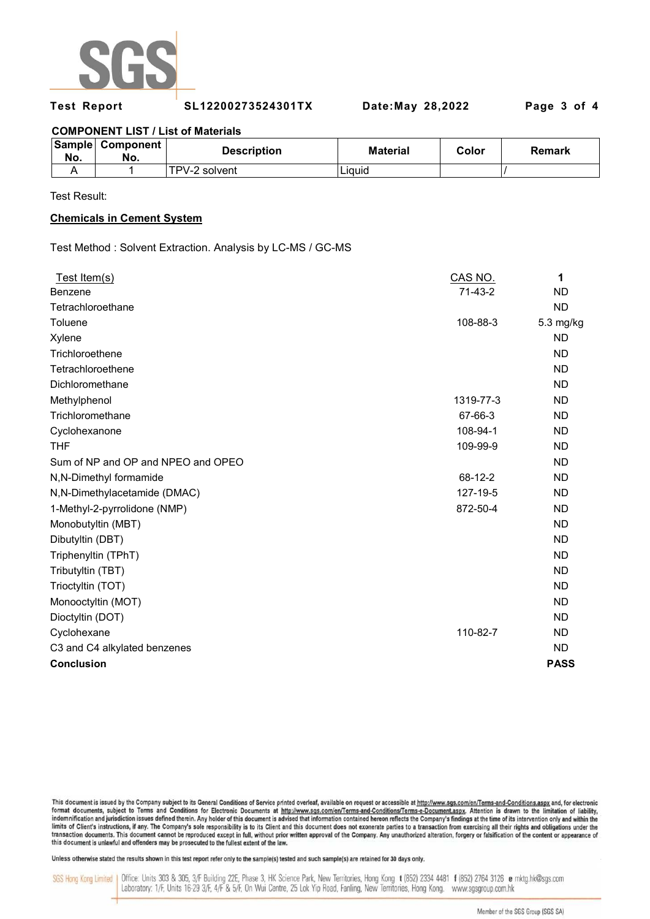

**Test Report SL12200273524301TX Date:May 28,2022 Page 3 of 4** 

# **COMPONENT LIST / List of Materials**

| No. | Sample Component<br>No. | <b>Description</b> | <b>Material</b> | Color | Remark |
|-----|-------------------------|--------------------|-----------------|-------|--------|
|     |                         | TPV-2 solvent      | Liauid          |       |        |

Test Result:

# **Chemicals in Cement System**

Test Method : Solvent Extraction. Analysis by LC-MS / GC-MS

| Test Item(s)                       | CAS NO.   | 1           |
|------------------------------------|-----------|-------------|
| Benzene                            | $71-43-2$ | <b>ND</b>   |
| Tetrachloroethane                  |           | <b>ND</b>   |
| Toluene                            | 108-88-3  | 5.3 mg/kg   |
| Xylene                             |           | <b>ND</b>   |
| Trichloroethene                    |           | <b>ND</b>   |
| Tetrachloroethene                  |           | <b>ND</b>   |
| Dichloromethane                    |           | <b>ND</b>   |
| Methylphenol                       | 1319-77-3 | <b>ND</b>   |
| Trichloromethane                   | 67-66-3   | <b>ND</b>   |
| Cyclohexanone                      | 108-94-1  | <b>ND</b>   |
| THF                                | 109-99-9  | <b>ND</b>   |
| Sum of NP and OP and NPEO and OPEO |           | <b>ND</b>   |
| N,N-Dimethyl formamide             | 68-12-2   | <b>ND</b>   |
| N,N-Dimethylacetamide (DMAC)       | 127-19-5  | <b>ND</b>   |
| 1-Methyl-2-pyrrolidone (NMP)       | 872-50-4  | <b>ND</b>   |
| Monobutyltin (MBT)                 |           | <b>ND</b>   |
| Dibutyltin (DBT)                   |           | <b>ND</b>   |
| Triphenyltin (TPhT)                |           | <b>ND</b>   |
| Tributyltin (TBT)                  |           | <b>ND</b>   |
| Trioctyltin (TOT)                  |           | <b>ND</b>   |
| Monooctyltin (MOT)                 |           | <b>ND</b>   |
| Dioctyltin (DOT)                   |           | <b>ND</b>   |
| Cyclohexane                        | 110-82-7  | <b>ND</b>   |
| C3 and C4 alkylated benzenes       |           | <b>ND</b>   |
| <b>Conclusion</b>                  |           | <b>PASS</b> |

This document is issued by the Company subject to its General Conditions of Service printed overleaf, available on request or accessible at http://www.sgs.com/en/Terms-and-Conditions.aspx and, for electronic In the documents, subject to Terms and Conditions for Electronic Documents at http://www.sps.com/en/Terms-and-Conditions/Terms-e-Document.aspx... Attention is drawn to the limitation of liability,<br>Indemnification and juris limits of Client's instructions, if any. The Company's sole responsibility is to its Client and this document does not exonerate parties to a transaction from exercising all their rights and obligations under the transacti

Unless otherwise stated the results shown in this test report refer only to the sample(s) tested and such sample(s) are retained for 30 days only.

SGS Hong Kong Limited | Office: Units 303 & 305, 3/F Building 22E, Phase 3, HK Science Park, New Territories, Hong Kong t (852) 2334 4481 f (852) 2764 3126 e mktg.hk@sgs.com Laboratory: 1/F, Units 16-29 3/F, 4/F & 5/F, On Wui Centre, 25 Lok Yip Road, Fanling, New Territories, Hong Kong. www.sgsgroup.com.hk